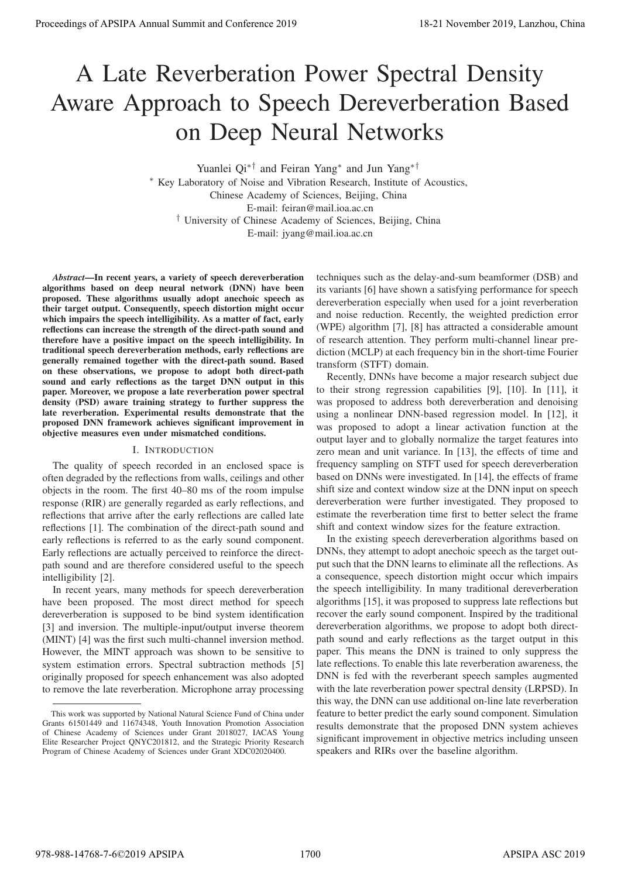# A Late Reverberation Power Spectral Density Aware Approach to Speech Dereverberation Based on Deep Neural Networks

Yuanlei Qi∗† and Feiran Yang∗ and Jun Yang∗†

∗ Key Laboratory of Noise and Vibration Research, Institute of Acoustics, Chinese Academy of Sciences, Beijing, China E-mail: feiran@mail.ioa.ac.cn † University of Chinese Academy of Sciences, Beijing, China E-mail: jyang@mail.ioa.ac.cn

*Abstract*—In recent years, a variety of speech dereverberation algorithms based on deep neural network (DNN) have been proposed. These algorithms usually adopt anechoic speech as their target output. Consequently, speech distortion might occur which impairs the speech intelligibility. As a matter of fact, early reflections can increase the strength of the direct-path sound and therefore have a positive impact on the speech intelligibility. In traditional speech dereverberation methods, early reflections are generally remained together with the direct-path sound. Based on these observations, we propose to adopt both direct-path sound and early reflections as the target DNN output in this paper. Moreover, we propose a late reverberation power spectral density (PSD) aware training strategy to further suppress the late reverberation. Experimental results demonstrate that the proposed DNN framework achieves significant improvement in objective measures even under mismatched conditions.

## I. INTRODUCTION

The quality of speech recorded in an enclosed space is often degraded by the reflections from walls, ceilings and other objects in the room. The first 40–80 ms of the room impulse response (RIR) are generally regarded as early reflections, and reflections that arrive after the early reflections are called late reflections [1]. The combination of the direct-path sound and early reflections is referred to as the early sound component. Early reflections are actually perceived to reinforce the directpath sound and are therefore considered useful to the speech intelligibility [2].

In recent years, many methods for speech dereverberation have been proposed. The most direct method for speech dereverberation is supposed to be bind system identification [3] and inversion. The multiple-input/output inverse theorem (MINT) [4] was the first such multi-channel inversion method. However, the MINT approach was shown to be sensitive to system estimation errors. Spectral subtraction methods [5] originally proposed for speech enhancement was also adopted to remove the late reverberation. Microphone array processing

techniques such as the delay-and-sum beamformer (DSB) and its variants [6] have shown a satisfying performance for speech dereverberation especially when used for a joint reverberation and noise reduction. Recently, the weighted prediction error (WPE) algorithm [7], [8] has attracted a considerable amount of research attention. They perform multi-channel linear prediction (MCLP) at each frequency bin in the short-time Fourier transform (STFT) domain.

Recently, DNNs have become a major research subject due to their strong regression capabilities [9], [10]. In [11], it was proposed to address both dereverberation and denoising using a nonlinear DNN-based regression model. In [12], it was proposed to adopt a linear activation function at the output layer and to globally normalize the target features into zero mean and unit variance. In [13], the effects of time and frequency sampling on STFT used for speech dereverberation based on DNNs were investigated. In [14], the effects of frame shift size and context window size at the DNN input on speech dereverberation were further investigated. They proposed to estimate the reverberation time first to better select the frame shift and context window sizes for the feature extraction.

In the existing speech dereverberation algorithms based on DNNs, they attempt to adopt anechoic speech as the target output such that the DNN learns to eliminate all the reflections. As a consequence, speech distortion might occur which impairs the speech intelligibility. In many traditional dereverberation algorithms [15], it was proposed to suppress late reflections but recover the early sound component. Inspired by the traditional dereverberation algorithms, we propose to adopt both directpath sound and early reflections as the target output in this paper. This means the DNN is trained to only suppress the late reflections. To enable this late reverberation awareness, the DNN is fed with the reverberant speech samples augmented with the late reverberation power spectral density (LRPSD). In this way, the DNN can use additional on-line late reverberation feature to better predict the early sound component. Simulation results demonstrate that the proposed DNN system achieves significant improvement in objective metrics including unseen speakers and RIRs over the baseline algorithm. **Procedure of APSIPA Annual Summit at Co-ference 2019**<br>
A Latte Reverberation Power Spectral Density and Conference 2019<br>
A Latte Reverberation Dense Annual Summit and Conference 2019<br>  $\frac{1}{2}$  November 2019 Annual Summi

This work was supported by National Natural Science Fund of China under Grants 61501449 and 11674348, Youth Innovation Promotion Association of Chinese Academy of Sciences under Grant 2018027, IACAS Young Elite Researcher Project QNYC201812, and the Strategic Priority Research Program of Chinese Academy of Sciences under Grant XDC02020400.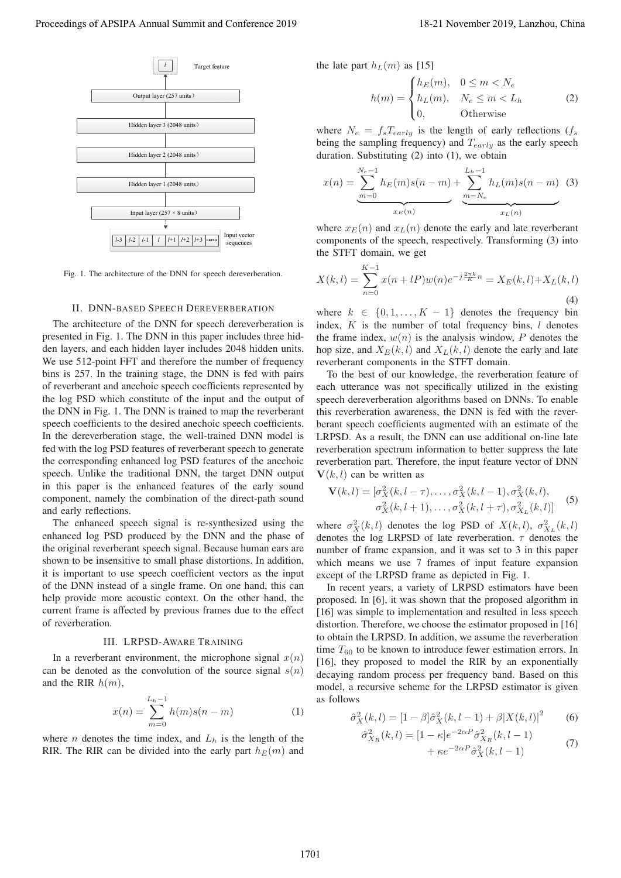

Fig. 1. The architecture of the DNN for speech dereverberation.

#### II. DNN-BASED SPEECH DEREVERBERATION

The architecture of the DNN for speech dereverberation is presented in Fig. 1. The DNN in this paper includes three hidden layers, and each hidden layer includes 2048 hidden units. We use 512-point FFT and therefore the number of frequency bins is 257. In the training stage, the DNN is fed with pairs of reverberant and anechoic speech coefficients represented by the log PSD which constitute of the input and the output of the DNN in Fig. 1. The DNN is trained to map the reverberant speech coefficients to the desired anechoic speech coefficients. In the dereverberation stage, the well-trained DNN model is fed with the log PSD features of reverberant speech to generate the corresponding enhanced log PSD features of the anechoic speech. Unlike the traditional DNN, the target DNN output in this paper is the enhanced features of the early sound component, namely the combination of the direct-path sound and early reflections. Proceeding of APSIPA Annual Summit and Conference 2019<br>
Proceedings of APSIPA Annual Summit and Conference 2019<br>
Proceedings of APSIPA Annual Summit and Conference 2019<br>
Proceedings of APSIPA Annual Summit and Conference

The enhanced speech signal is re-synthesized using the enhanced log PSD produced by the DNN and the phase of the original reverberant speech signal. Because human ears are shown to be insensitive to small phase distortions. In addition, it is important to use speech coefficient vectors as the input of the DNN instead of a single frame. On one hand, this can help provide more acoustic context. On the other hand, the current frame is affected by previous frames due to the effect of reverberation.

#### III. LRPSD-AWARE TRAINING

In a reverberant environment, the microphone signal  $x(n)$ can be denoted as the convolution of the source signal  $s(n)$ and the RIR  $h(m)$ ,

$$
x(n) = \sum_{m=0}^{L_h - 1} h(m)s(n - m)
$$
 (1)

where *n* denotes the time index, and  $L<sub>h</sub>$  is the length of the RIR. The RIR can be divided into the early part  $h_E(m)$  and the late part  $h_L(m)$  as [15]

$$
h(m) = \begin{cases} h_E(m), & 0 \le m < N_e \\ h_L(m), & N_e \le m < L_h \\ 0, & \text{Otherwise} \end{cases}
$$
 (2)

where  $N_e = f_s T_{early}$  is the length of early reflections ( $f_s$ being the sampling frequency) and  $T_{early}$  as the early speech duration. Substituting (2) into (1), we obtain

$$
x(n) = \underbrace{\sum_{m=0}^{N_e-1} h_E(m)s(n-m)}_{x_E(n)} + \underbrace{\sum_{m=N_e}^{L_h-1} h_L(m)s(n-m)}_{x_L(n)} \quad (3)
$$

where  $x_E(n)$  and  $x_L(n)$  denote the early and late reverberant components of the speech, respectively. Transforming (3) into the STFT domain, we get

$$
X(k,l) = \sum_{n=0}^{K-1} x(n+lP)w(n)e^{-j\frac{2\pi k}{K}n} = X_E(k,l) + X_L(k,l)
$$
\n(4)

where  $k \in \{0, 1, ..., K - 1\}$  denotes the frequency bin index,  $K$  is the number of total frequency bins,  $l$  denotes the frame index,  $w(n)$  is the analysis window, P denotes the hop size, and  $X_E(k, l)$  and  $X_L(k, l)$  denote the early and late reverberant components in the STFT domain.

To the best of our knowledge, the reverberation feature of each utterance was not specifically utilized in the existing speech dereverberation algorithms based on DNNs. To enable this reverberation awareness, the DNN is fed with the reverberant speech coefficients augmented with an estimate of the LRPSD. As a result, the DNN can use additional on-line late reverberation spectrum information to better suppress the late reverberation part. Therefore, the input feature vector of DNN  $V(k, l)$  can be written as

$$
\mathbf{V}(k,l) = [\sigma_X^2(k, l - \tau), \dots, \sigma_X^2(k, l - 1), \sigma_X^2(k, l),
$$
  
\n
$$
\sigma_X^2(k, l + 1), \dots, \sigma_X^2(k, l + \tau), \sigma_{X_L}^2(k, l)]
$$
\n(5)

where  $\sigma_X^2(k,l)$  denotes the log PSD of  $X(k,l)$ ,  $\sigma_{X_L}^2(k,l)$ <br>denotes the log LBPSD of late reverberation  $\tau$  denotes the denotes the log LRPSD of late reverberation.  $\tau$  denotes the number of frame expansion, and it was set to 3 in this paper which means we use 7 frames of input feature expansion except of the LRPSD frame as depicted in Fig. 1.

In recent years, a variety of LRPSD estimators have been proposed. In [6], it was shown that the proposed algorithm in [16] was simple to implementation and resulted in less speech distortion. Therefore, we choose the estimator proposed in [16] to obtain the LRPSD. In addition, we assume the reverberation time  $T_{60}$  to be known to introduce fewer estimation errors. In [16], they proposed to model the RIR by an exponentially decaying random process per frequency band. Based on this model, a recursive scheme for the LRPSD estimator is given as follows

$$
\hat{\sigma}_X^2(k,l) = [1 - \beta] \hat{\sigma}_X^2(k, l-1) + \beta |X(k,l)|^2
$$
 (6)

$$
\hat{\sigma}_{X_R}^2(k,l) = \left[1 - \kappa\right]e^{-2\alpha P}\hat{\sigma}_{X_R}^2(k,l-1) + \kappa e^{-2\alpha P}\hat{\sigma}_X^2(k,l-1) \tag{7}
$$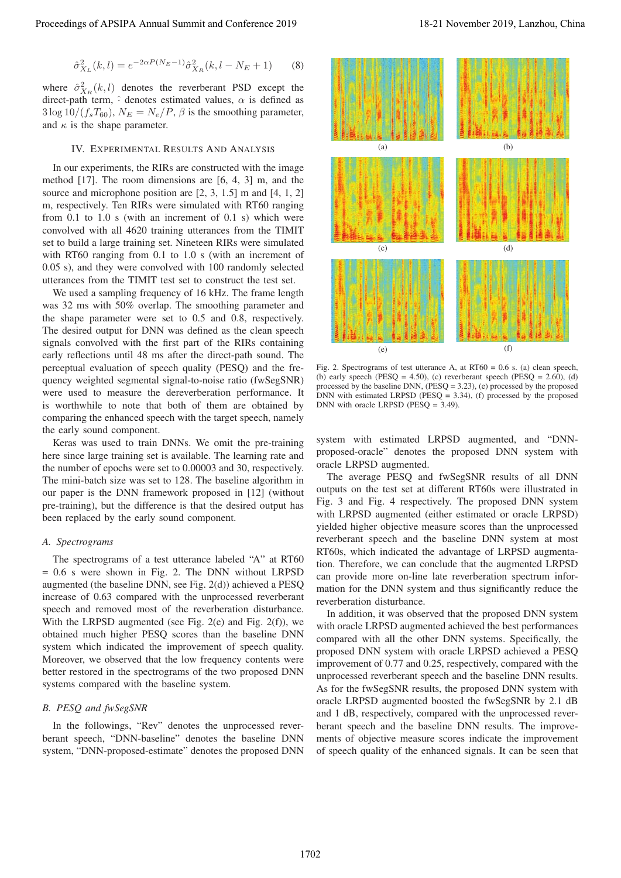$$
\hat{\sigma}_{X_L}^2(k,l) = e^{-2\alpha P(N_E - 1)} \hat{\sigma}_{X_R}^2(k, l - N_E + 1)
$$
 (8)

where  $\hat{\sigma}_{X_R}^2(k,l)$  denotes the reverberant PSD except the direct-path term  $\hat{\sigma}$  denotes estimated values  $\alpha$  is defined as direct-path term,  $\hat{ }$  denotes estimated values,  $\alpha$  is defined as  $3 \log 10/(f_s T_{60}), N_E = N_e/P$ ,  $\beta$  is the smoothing parameter, and  $\kappa$  is the shape parameter.

#### IV. EXPERIMENTAL RESULTS AND ANALYSIS

In our experiments, the RIRs are constructed with the image method [17]. The room dimensions are [6, 4, 3] m, and the source and microphone position are [2, 3, 1.5] m and [4, 1, 2] m, respectively. Ten RIRs were simulated with RT60 ranging from 0.1 to 1.0 s (with an increment of 0.1 s) which were convolved with all 4620 training utterances from the TIMIT set to build a large training set. Nineteen RIRs were simulated with RT60 ranging from 0.1 to 1.0 s (with an increment of 0.05 s), and they were convolved with 100 randomly selected utterances from the TIMIT test set to construct the test set.

We used a sampling frequency of 16 kHz. The frame length was 32 ms with 50% overlap. The smoothing parameter and the shape parameter were set to 0.5 and 0.8, respectively. The desired output for DNN was defined as the clean speech signals convolved with the first part of the RIRs containing early reflections until 48 ms after the direct-path sound. The perceptual evaluation of speech quality (PESQ) and the frequency weighted segmental signal-to-noise ratio (fwSegSNR) were used to measure the dereverberation performance. It is worthwhile to note that both of them are obtained by comparing the enhanced speech with the target speech, namely the early sound component.

Keras was used to train DNNs. We omit the pre-training here since large training set is available. The learning rate and the number of epochs were set to 0.00003 and 30, respectively. The mini-batch size was set to 128. The baseline algorithm in our paper is the DNN framework proposed in [12] (without pre-training), but the difference is that the desired output has been replaced by the early sound component.

### *A. Spectrograms*

The spectrograms of a test utterance labeled "A" at RT60 = 0.6 s were shown in Fig. 2. The DNN without LRPSD augmented (the baseline DNN, see Fig. 2(d)) achieved a PESQ increase of 0.63 compared with the unprocessed reverberant speech and removed most of the reverberation disturbance. With the LRPSD augmented (see Fig. 2(e) and Fig. 2(f)), we obtained much higher PESQ scores than the baseline DNN system which indicated the improvement of speech quality. Moreover, we observed that the low frequency contents were better restored in the spectrograms of the two proposed DNN systems compared with the baseline system.

## *B. PESQ and fwSegSNR*

In the followings, "Rev" denotes the unprocessed reverberant speech, "DNN-baseline" denotes the baseline DNN system, "DNN-proposed-estimate" denotes the proposed DNN



Fig. 2. Spectrograms of test utterance A, at RT60 = 0.6 s. (a) clean speech, (b) early speech (PESQ = 4.50), (c) reverberant speech (PESQ =  $2.60$ ), (d) processed by the baseline DNN, (PESQ = 3.23), (e) processed by the proposed DNN with estimated LRPSD ( $\overline{PESQ} = 3.34$ ), (f) processed by the proposed DNN with oracle LRPSD (PESQ = 3.49).

system with estimated LRPSD augmented, and "DNNproposed-oracle" denotes the proposed DNN system with oracle LRPSD augmented.

The average PESQ and fwSegSNR results of all DNN outputs on the test set at different RT60s were illustrated in Fig. 3 and Fig. 4 respectively. The proposed DNN system with LRPSD augmented (either estimated or oracle LRPSD) yielded higher objective measure scores than the unprocessed reverberant speech and the baseline DNN system at most RT60s, which indicated the advantage of LRPSD augmentation. Therefore, we can conclude that the augmented LRPSD can provide more on-line late reverberation spectrum information for the DNN system and thus significantly reduce the reverberation disturbance.

In addition, it was observed that the proposed DNN system with oracle LRPSD augmented achieved the best performances compared with all the other DNN systems. Specifically, the proposed DNN system with oracle LRPSD achieved a PESQ improvement of 0.77 and 0.25, respectively, compared with the unprocessed reverberant speech and the baseline DNN results. As for the fwSegSNR results, the proposed DNN system with oracle LRPSD augmented boosted the fwSegSNR by 2.1 dB and 1 dB, respectively, compared with the unprocessed reverberant speech and the baseline DNN results. The improvements of objective measure scores indicate the improvement of speech quality of the enhanced signals. It can be seen that